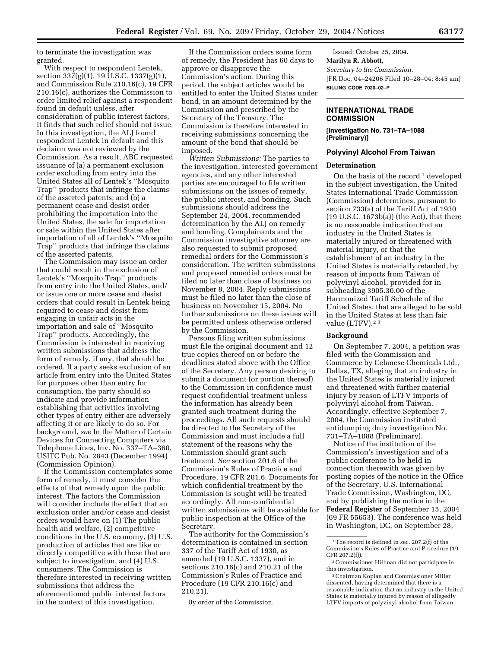to terminate the investigation was granted.

With respect to respondent Lentek, section  $337(g)(1)$ , 19 U.S.C.  $1337(g)(1)$ , and Commission Rule 210.16(c), 19 CFR 210.16(c), authorizes the Commission to order limited relief against a respondent found in default unless, after consideration of public interest factors, it finds that such relief should not issue. In this investigation, the ALJ found respondent Lentek in default and this decision was not reviewed by the Commission. As a result, ABC requested issuance of (a) a permanent exclusion order excluding from entry into the United States all of Lentek's ''Mosquito Trap'' products that infringe the claims of the asserted patents; and (b) a permanent cease and desist order prohibiting the importation into the United States, the sale for importation or sale within the United States after importation of all of Lentek's ''Mosquito Trap'' products that infringe the claims of the asserted patents.

The Commission may issue an order that could result in the exclusion of Lentek's ''Mosquito Trap'' products from entry into the United States, and/ or issue one or more cease and desist orders that could result in Lentek being required to cease and desist from engaging in unfair acts in the importation and sale of ''Mosquito Trap'' products. Accordingly, the Commission is interested in receiving written submissions that address the form of remedy, if any, that should be ordered. If a party seeks exclusion of an article from entry into the United States for purposes other than entry for consumption, the party should so indicate and provide information establishing that activities involving other types of entry either are adversely affecting it or are likely to do so. For background, *see* In the Matter of Certain Devices for Connecting Computers via Telephone Lines, Inv. No. 337–TA–360, USITC Pub. No. 2843 (December 1994) (Commission Opinion).

If the Commission contemplates some form of remedy, it must consider the effects of that remedy upon the public interest. The factors the Commission will consider include the effect that an exclusion order and/or cease and desist orders would have on (1) The public health and welfare, (2) competitive conditions in the U.S. economy, (3) U.S. production of articles that are like or directly competitive with those that are subject to investigation, and (4) U.S. consumers. The Commission is therefore interested in receiving written submissions that address the aforementioned public interest factors in the context of this investigation.

If the Commission orders some form of remedy, the President has 60 days to approve or disapprove the Commission's action. During this period, the subject articles would be entitled to enter the United States under bond, in an amount determined by the Commission and prescribed by the Secretary of the Treasury. The Commission is therefore interested in receiving submissions concerning the amount of the bond that should be imposed.

*Written Submissions:* The parties to the investigation, interested government agencies, and any other interested parties are encouraged to file written submissions on the issues of remedy, the public interest, and bonding. Such submissions should address the September 24, 2004, recommended determination by the ALJ on remedy and bonding. Complainants and the Commission investigative attorney are also requested to submit proposed remedial orders for the Commission's consideration. The written submissions and proposed remedial orders must be filed no later than close of business on November 8, 2004. Reply submissions must be filed no later than the close of business on November 15, 2004. No further submissions on these issues will be permitted unless otherwise ordered by the Commission.

Persons filing written submissions must file the original document and 12 true copies thereof on or before the deadlines stated above with the Office of the Secretary. Any person desiring to submit a document (or portion thereof) to the Commission in confidence must request confidential treatment unless the information has already been granted such treatment during the proceedings. All such requests should be directed to the Secretary of the Commission and must include a full statement of the reasons why the Commission should grant such treatment. *See* section 201.6 of the Commission's Rules of Practice and Procedure, 19 CFR 201.6. Documents for which confidential treatment by the Commission is sought will be treated accordingly. All non-confidential written submissions will be available for public inspection at the Office of the Secretary.

The authority for the Commission's determination is contained in section 337 of the Tariff Act of 1930, as amended (19 U.S.C. 1337), and in sections 210.16(c) and 210.21 of the Commission's Rules of Practice and Procedure (19 CFR 210.16(c) and 210.21).

By order of the Commission.

Issued: October 25, 2004. **Marilyn R. Abbott,**  *Secretary to the Commission.* [FR Doc. 04–24206 Filed 10–28–04; 8:45 am] **BILLING CODE 7020–02–P**

### **INTERNATIONAL TRADE COMMISSION**

**[Investigation No. 731–TA–1088 (Preliminary)]** 

## **Polyvinyl Alcohol From Taiwan**

#### **Determination**

On the basis of the record  $1$  developed in the subject investigation, the United States International Trade Commission (Commission) determines, pursuant to section 733(a) of the Tariff Act of 1930 (19 U.S.C. 1673b(a)) (the Act), that there is no reasonable indication that an industry in the United States is materially injured or threatened with material injury, or that the establishment of an industry in the United States is materially retarded, by reason of imports from Taiwan of polyvinyl alcohol, provided for in subheading 3905.30.00 of the Harmonized Tariff Schedule of the United States, that are alleged to be sold in the United States at less than fair value (LTFV).<sup>23</sup>

#### **Background**

On September 7, 2004, a petition was filed with the Commission and Commerce by Celanese Chemicals Ltd., Dallas, TX, alleging that an industry in the United States is materially injured and threatened with further material injury by reason of LTFV imports of polyvinyl alcohol from Taiwan. Accordingly, effective September 7, 2004, the Commission instituted antidumping duty investigation No. 731–TA–1088 (Preliminary).

Notice of the institution of the Commission's investigation and of a public conference to be held in connection therewith was given by posting copies of the notice in the Office of the Secretary, U.S. International Trade Commission, Washington, DC, and by publishing the notice in the **Federal Register** of September 15, 2004 (69 FR 55653). The conference was held in Washington, DC, on September 28,

<sup>&</sup>lt;sup>1</sup>The record is defined in sec. 207.2(f) of the Commission's Rules of Practice and Procedure (19 CFR 207.2(f)).

<sup>2</sup>Commissioner Hillman did not participate in this investigation.

<sup>3</sup>Chairman Koplan and Commissioner Miller dissented, having determined that there is a reasonable indication that an industry in the United States is materially injured by reason of allegedly LTFV imports of polyvinyl alcohol from Taiwan.